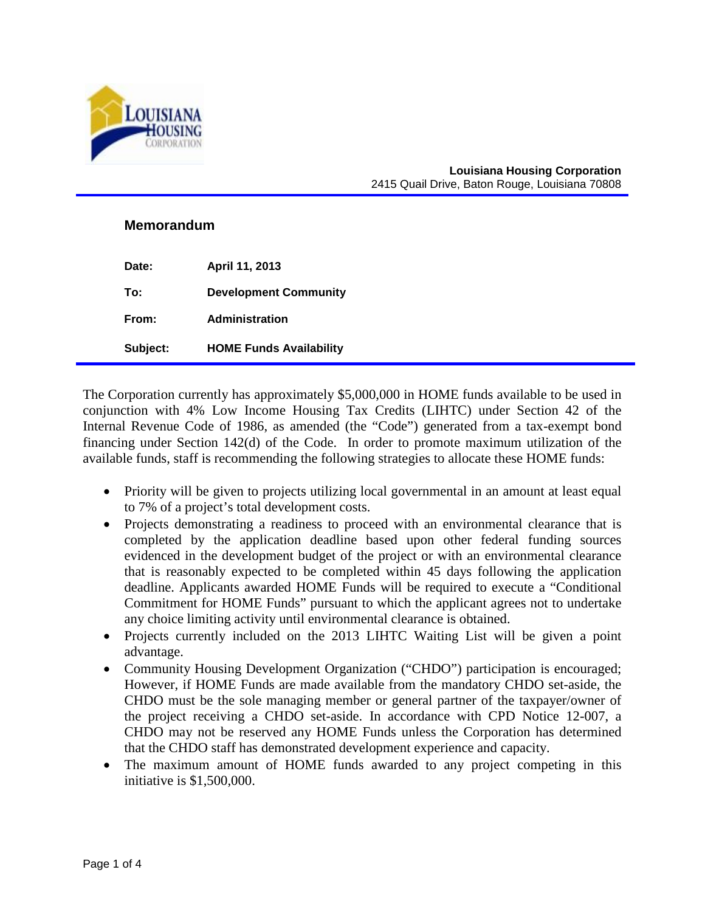

#### **Louisiana Housing Corporation** 2415 Quail Drive, Baton Rouge, Louisiana 70808

### **Memorandum**

| Date:    | April 11, 2013                 |
|----------|--------------------------------|
| To:      | <b>Development Community</b>   |
| From:    | <b>Administration</b>          |
| Subject: | <b>HOME Funds Availability</b> |

The Corporation currently has approximately \$5,000,000 in HOME funds available to be used in conjunction with 4% Low Income Housing Tax Credits (LIHTC) under Section 42 of the Internal Revenue Code of 1986, as amended (the "Code") generated from a tax-exempt bond financing under Section 142(d) of the Code. In order to promote maximum utilization of the available funds, staff is recommending the following strategies to allocate these HOME funds:

- Priority will be given to projects utilizing local governmental in an amount at least equal to 7% of a project's total development costs.
- Projects demonstrating a readiness to proceed with an environmental clearance that is completed by the application deadline based upon other federal funding sources evidenced in the development budget of the project or with an environmental clearance that is reasonably expected to be completed within 45 days following the application deadline. Applicants awarded HOME Funds will be required to execute a "Conditional Commitment for HOME Funds" pursuant to which the applicant agrees not to undertake any choice limiting activity until environmental clearance is obtained.
- Projects currently included on the 2013 LIHTC Waiting List will be given a point advantage.
- Community Housing Development Organization ("CHDO") participation is encouraged; However, if HOME Funds are made available from the mandatory CHDO set-aside, the CHDO must be the sole managing member or general partner of the taxpayer/owner of the project receiving a CHDO set-aside. In accordance with CPD Notice 12-007, a CHDO may not be reserved any HOME Funds unless the Corporation has determined that the CHDO staff has demonstrated development experience and capacity.
- The maximum amount of HOME funds awarded to any project competing in this initiative is \$1,500,000.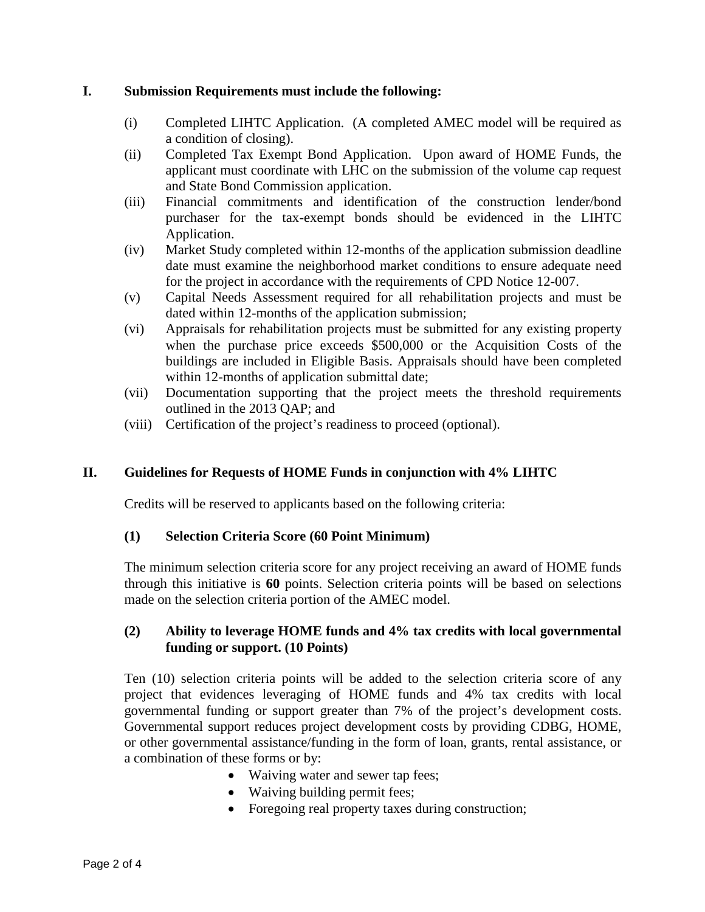## **I. Submission Requirements must include the following:**

- (i) Completed LIHTC Application. (A completed AMEC model will be required as a condition of closing).
- (ii) Completed Tax Exempt Bond Application. Upon award of HOME Funds, the applicant must coordinate with LHC on the submission of the volume cap request and State Bond Commission application.
- (iii) Financial commitments and identification of the construction lender/bond purchaser for the tax-exempt bonds should be evidenced in the LIHTC Application.
- (iv) Market Study completed within 12-months of the application submission deadline date must examine the neighborhood market conditions to ensure adequate need for the project in accordance with the requirements of CPD Notice 12-007.
- (v) Capital Needs Assessment required for all rehabilitation projects and must be dated within 12-months of the application submission;
- (vi) Appraisals for rehabilitation projects must be submitted for any existing property when the purchase price exceeds \$500,000 or the Acquisition Costs of the buildings are included in Eligible Basis. Appraisals should have been completed within 12-months of application submittal date;
- (vii) Documentation supporting that the project meets the threshold requirements outlined in the 2013 QAP; and
- (viii) Certification of the project's readiness to proceed (optional).

# **II. Guidelines for Requests of HOME Funds in conjunction with 4% LIHTC**

Credits will be reserved to applicants based on the following criteria:

### **(1) Selection Criteria Score (60 Point Minimum)**

The minimum selection criteria score for any project receiving an award of HOME funds through this initiative is **60** points. Selection criteria points will be based on selections made on the selection criteria portion of the AMEC model.

## **(2) Ability to leverage HOME funds and 4% tax credits with local governmental funding or support. (10 Points)**

Ten (10) selection criteria points will be added to the selection criteria score of any project that evidences leveraging of HOME funds and 4% tax credits with local governmental funding or support greater than 7% of the project's development costs. Governmental support reduces project development costs by providing CDBG, HOME, or other governmental assistance/funding in the form of loan, grants, rental assistance, or a combination of these forms or by:

- Waiving water and sewer tap fees;
- Waiving building permit fees;
- Foregoing real property taxes during construction;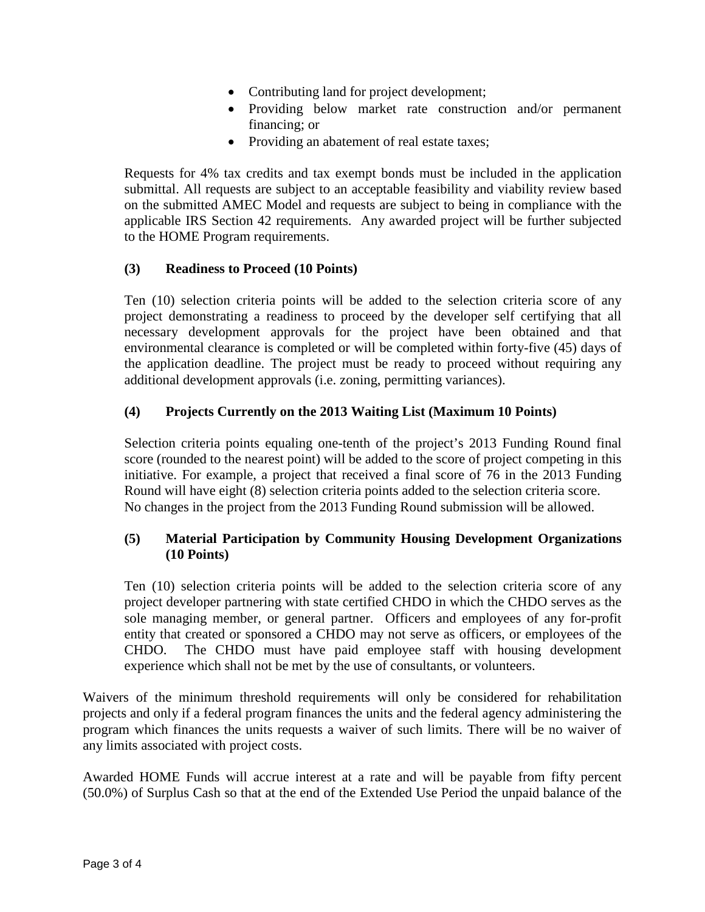- Contributing land for project development;
- Providing below market rate construction and/or permanent financing; or
- Providing an abatement of real estate taxes;

Requests for 4% tax credits and tax exempt bonds must be included in the application submittal. All requests are subject to an acceptable feasibility and viability review based on the submitted AMEC Model and requests are subject to being in compliance with the applicable IRS Section 42 requirements. Any awarded project will be further subjected to the HOME Program requirements.

## **(3) Readiness to Proceed (10 Points)**

Ten (10) selection criteria points will be added to the selection criteria score of any project demonstrating a readiness to proceed by the developer self certifying that all necessary development approvals for the project have been obtained and that environmental clearance is completed or will be completed within forty-five (45) days of the application deadline. The project must be ready to proceed without requiring any additional development approvals (i.e. zoning, permitting variances).

# **(4) Projects Currently on the 2013 Waiting List (Maximum 10 Points)**

Selection criteria points equaling one-tenth of the project's 2013 Funding Round final score (rounded to the nearest point) will be added to the score of project competing in this initiative. For example, a project that received a final score of 76 in the 2013 Funding Round will have eight (8) selection criteria points added to the selection criteria score. No changes in the project from the 2013 Funding Round submission will be allowed.

# **(5) Material Participation by Community Housing Development Organizations (10 Points)**

Ten (10) selection criteria points will be added to the selection criteria score of any project developer partnering with state certified CHDO in which the CHDO serves as the sole managing member, or general partner. Officers and employees of any for-profit entity that created or sponsored a CHDO may not serve as officers, or employees of the CHDO. The CHDO must have paid employee staff with housing development experience which shall not be met by the use of consultants, or volunteers.

Waivers of the minimum threshold requirements will only be considered for rehabilitation projects and only if a federal program finances the units and the federal agency administering the program which finances the units requests a waiver of such limits. There will be no waiver of any limits associated with project costs.

Awarded HOME Funds will accrue interest at a rate and will be payable from fifty percent (50.0%) of Surplus Cash so that at the end of the Extended Use Period the unpaid balance of the